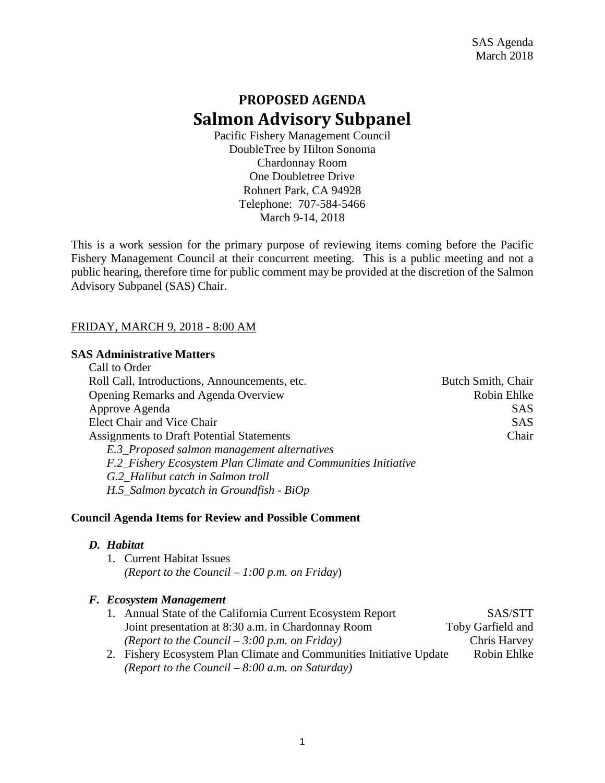# **PROPOSED AGENDA Salmon Advisory Subpanel**

Pacific Fishery Management Council DoubleTree by Hilton Sonoma Chardonnay Room One Doubletree Drive Rohnert Park, CA 94928 Telephone: 707-584-5466 March 9-14, 2018

This is a work session for the primary purpose of reviewing items coming before the Pacific Fishery Management Council at their concurrent meeting. This is a public meeting and not a public hearing, therefore time for public comment may be provided at the discretion of the Salmon Advisory Subpanel (SAS) Chair.

# FRIDAY, MARCH 9, 2018 - 8:00 AM

#### **SAS Administrative Matters**

| Call to Order                                                 |                    |
|---------------------------------------------------------------|--------------------|
| Roll Call, Introductions, Announcements, etc.                 | Butch Smith, Chair |
| <b>Opening Remarks and Agenda Overview</b>                    | Robin Ehlke        |
| Approve Agenda                                                | <b>SAS</b>         |
| <b>Elect Chair and Vice Chair</b>                             | <b>SAS</b>         |
| <b>Assignments to Draft Potential Statements</b>              | Chair              |
| E.3_Proposed salmon management alternatives                   |                    |
| F.2_Fishery Ecosystem Plan Climate and Communities Initiative |                    |
| G.2 Halibut catch in Salmon troll                             |                    |
| $H.5$ _Salmon bycatch in Groundfish - BiOp                    |                    |

# **Council Agenda Items for Review and Possible Comment**

#### *D. Habitat*

1. Current Habitat Issues *(Report to the Council – 1:00 p.m. on Friday*)

# *F. Ecosystem Management*

| 1. Annual State of the California Current Ecosystem Report         | SAS/STT                                                                                                                                                                                                                                                                                                                           |
|--------------------------------------------------------------------|-----------------------------------------------------------------------------------------------------------------------------------------------------------------------------------------------------------------------------------------------------------------------------------------------------------------------------------|
| Joint presentation at 8:30 a.m. in Chardonnay Room                 | Toby Garfield and                                                                                                                                                                                                                                                                                                                 |
| (Report to the Council $-3:00$ p.m. on Friday)                     | Chris Harvey                                                                                                                                                                                                                                                                                                                      |
| 2. Eisham Facerotam Dlan Climate and Communities Initiative Undate | $D_{\alpha}$ is in $D_{\alpha}$ in $D_{\alpha}$ in $D_{\alpha}$ in $D_{\alpha}$ in $D_{\alpha}$ in $D_{\alpha}$ in $D_{\alpha}$ in $D_{\alpha}$ in $D_{\alpha}$ in $D_{\alpha}$ in $D_{\alpha}$ in $D_{\alpha}$ in $D_{\alpha}$ in $D_{\alpha}$ in $D_{\alpha}$ in $D_{\alpha}$ in $D_{\alpha}$ in $D_{\alpha}$ in $D_{\alpha}$ i |

2. Fishery Ecosystem Plan Climate and Communities Initiative Update Robin Ehlke *(Report to the Council – 8:00 a.m. on Saturday)*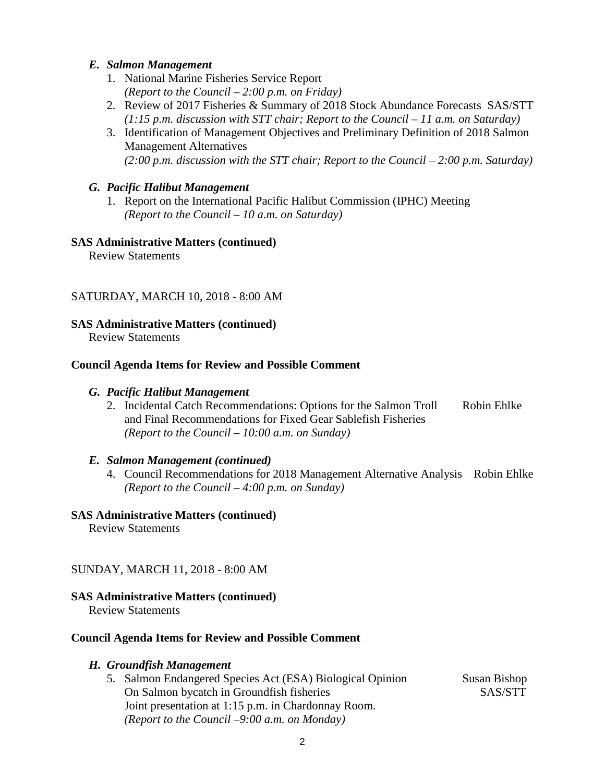# *E. Salmon Management*

- 1. National Marine Fisheries Service Report *(Report to the Council – 2:00 p.m. on Friday)*
- 2. Review of 2017 Fisheries & Summary of 2018 Stock Abundance Forecasts SAS/STT *(1:15 p.m. discussion with STT chair; Report to the Council – 11 a.m. on Saturday)*
- 3. Identification of Management Objectives and Preliminary Definition of 2018 Salmon Management Alternatives *(2:00 p.m. discussion with the STT chair; Report to the Council – 2:00 p.m. Saturday)*

# *G. Pacific Halibut Management*

1. Report on the International Pacific Halibut Commission (IPHC) Meeting *(Report to the Council – 10 a.m. on Saturday)*

# **SAS Administrative Matters (continued)**

Review Statements

# SATURDAY, MARCH 10, 2018 - 8:00 AM

# **SAS Administrative Matters (continued)**

Review Statements

# **Council Agenda Items for Review and Possible Comment**

# *G. Pacific Halibut Management*

2. Incidental Catch Recommendations: Options for the Salmon Troll Robin Ehlke and Final Recommendations for Fixed Gear Sablefish Fisheries *(Report to the Council – 10:00 a.m. on Sunday)*

# *E. Salmon Management (continued)*

4. Council Recommendations for 2018 Management Alternative Analysis Robin Ehlke *(Report to the Council – 4:00 p.m. on Sunday)*

# **SAS Administrative Matters (continued)**

Review Statements

# SUNDAY, MARCH 11, 2018 - 8:00 AM

# **SAS Administrative Matters (continued)**

Review Statements

# **Council Agenda Items for Review and Possible Comment**

# *H. Groundfish Management*

5. Salmon Endangered Species Act (ESA) Biological Opinion Susan Bishop On Salmon bycatch in Groundfish fisheries SAS/STT Joint presentation at 1:15 p.m. in Chardonnay Room. *(Report to the Council –9:00 a.m. on Monday)*